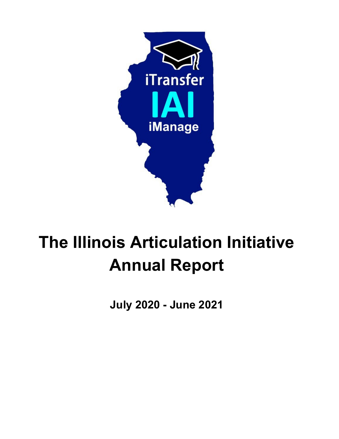

## **The Illinois Articulation Initiative Annual Report**

**July 2020 - June 2021**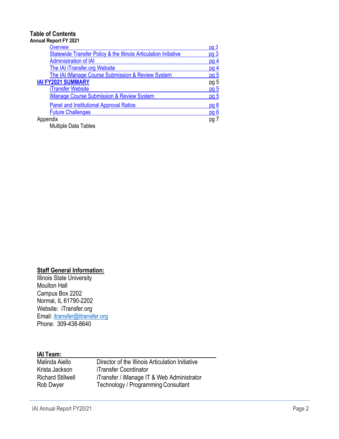#### **Table of Contents Annual Report FY 2021**

| iliuai Report Fil Zuz I                                          |                 |
|------------------------------------------------------------------|-----------------|
| Overview                                                         | <u>pg 3</u>     |
| Statewide Transfer Policy & the Illinois Articulation Initiative | pg <sub>3</sub> |
| <b>Administration of IAI</b>                                     | pg <sub>4</sub> |
| The IAI iTransfer.org Website                                    | pg <sub>4</sub> |
| The IAI iManage Course Submission & Review System                | pq <sub>5</sub> |
| <b>IAI FY2021 SUMMARY</b>                                        | pg 5            |
| iTransfer Website                                                | <u>pg 5</u>     |
| <b>iManage Course Submission &amp; Review System</b>             | pq <sub>5</sub> |
| <b>Panel and Institutional Approval Ratios</b>                   | pg <sub>6</sub> |
| <b>Future Challenges</b>                                         | <u>pg 6</u>     |
| Appendix                                                         | pg 7            |
| <b>Multiple Data Tables</b>                                      |                 |

#### **Staff General Information:**

**Illinois State University** Moulton Hall Campus Box 2202 Normal, IL 61790-2202 Website: iTransfer.org Email: [itransfer@itransfer.org](mailto:itransfer@itransfer.org) Phone: 309-438-8640

#### **IAI Team:**

| Malinda Aiello           | Director of the Illinois Articulation Initiative |
|--------------------------|--------------------------------------------------|
| Krista Jackson           | iTransfer Coordinator                            |
| <b>Richard Stillwell</b> | iTransfer / iManage IT & Web Administrator       |
| Rob Dwyer                | Technology / Programming Consultant              |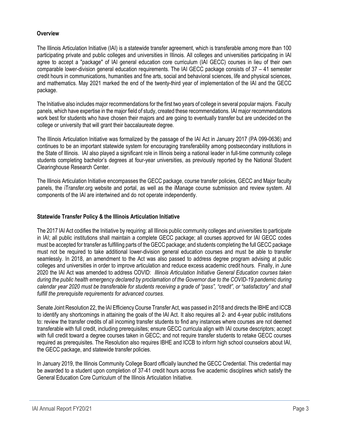#### <span id="page-2-0"></span> **Overview**

The Illinois Articulation Initiative (IAI) is a statewide transfer agreement, which is transferable among more than 100 participating private and public colleges and universities in Illinois. All colleges and universities participating in IAI agree to accept a "package" of IAI general education core curriculum (IAI GECC) courses in lieu of their own comparable lower-division general education requirements. The IAI GECC package consists of 37 – 41 semester credit hours in communications, humanities and fine arts, social and behavioral sciences, life and physical sciences, and mathematics. May 2021 marked the end of the twenty-third year of implementation of the IAI and the GECC package.

The Initiative also includes major recommendations for the first two years of college in several popular majors. Faculty panels, which have expertise in the major field of study, created these recommendations. IAI major recommendations work best for students who have chosen their majors and are going to eventually transfer but are undecided on the college or university that will grant their baccalaureate degree.

The Illinois Articulation Initiative was formalized by the passage of the IAI Act in January 2017 (PA 099-0636) and continues to be an important statewide system for encouraging transferability among postsecondary institutions in the State of Illinois. IAI also played a significant role in Illinois being a national leader in full-time community college students completing bachelor's degrees at four-year universities, as previously reported by the National Student Clearinghouse Research Center.

The Illinois Articulation Initiative encompasses the GECC package, course transfer policies, GECC and Major faculty panels, the iTransfer.org website and portal, as well as the iManage course submission and review system. All components of the IAI are intertwined and do not operate independently.

#### <span id="page-2-1"></span>**Statewide Transfer Policy & the Illinois Articulation Initiative**

The 2017 IAI Act codifies the Initiative by requiring: all Illinois public community colleges and universities to participate in IAI; all public institutions shall maintain a complete GECC package; all courses approved for IAI GECC codes must be accepted for transfer as fulfilling parts of the GECC package; and students completing the full GECC package must not be required to take additional lower-division general education courses and must be able to transfer seamlessly. In 2018, an amendment to the Act was also passed to address degree program advising at public colleges and universities in order to improve articulation and reduce excess academic credit hours. Finally, in June 2020 the IAI Act was amended to address COVID: *Illinois Articulation Initiative General Education courses taken during the public health emergency declared by proclamation of the Governor due to the COVID-19 pandemic during calendar year 2020 must be transferable for students receiving a grade of "pass", "credit", or "satisfactory" and shall fulfill the prerequisite requirements for advanced courses.*

Senate Joint Resolution 22, the IAI Efficiency Course Transfer Act, was passed in 2018 and directs the IBHE and ICCB to identify any shortcomings in attaining the goals of the IAI Act. It also requires all 2- and 4-year public institutions to: review the transfer credits of all incoming transfer students to find any instances where courses are not deemed transferable with full credit, including prerequisites; ensure GECC curricula align with IAI course descriptors; accept with full credit toward a degree courses taken in GECC; and not require transfer students to retake GECC courses required as prerequisites. The Resolution also requires IBHE and ICCB to inform high school counselors about IAI, the GECC package, and statewide transfer policies.

In January 2019, the Illinois Community College Board officially launched the GECC Credential. This credential may be awarded to a student upon completion of 37-41 credit hours across five academic disciplines which satisfy the General Education Core Curriculum of the Illinois Articulation Initiative.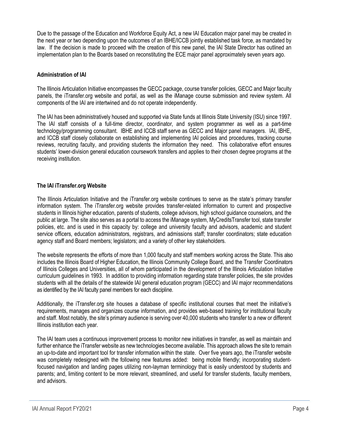Due to the passage of the Education and Workforce Equity Act, a new IAI Education major panel may be created in the next year or two depending upon the outcomes of an IBHE/ICCB jointly established task force, as mandated by law. If the decision is made to proceed with the creation of this new panel, the IAI State Director has outlined an implementation plan to the Boards based on reconstituting the ECE major panel approximately seven years ago.

#### <span id="page-3-0"></span>**Administration of IAI**

The Illinois Articulation Initiative encompasses the GECC package, course transfer policies, GECC and Major faculty panels, the iTransfer.org website and portal, as well as the iManage course submission and review system. All components of the IAI are intertwined and do not operate independently.

The IAI has been administratively housed and supported via State funds at Illinois State University (ISU) since 1997. The IAI staff consists of a full-time director, coordinator, and system programmer as well as a part-time technology/programming consultant. IBHE and ICCB staff serve as GECC and Major panel managers. IAI, IBHE, and ICCB staff closely collaborate on establishing and implementing IAI policies and procedures, tracking course reviews, recruiting faculty, and providing students the information they need. This collaborative effort ensures students' lower-division general education coursework transfers and applies to their chosen degree programs at the receiving institution.

#### <span id="page-3-1"></span>**The IAI iTransfer.org Website**

The Illinois Articulation Initiative and the iTransfer.org website continues to serve as the state's primary transfer information system. The iTransfer.org website provides transfer-related information to current and prospective students in Illinois higher education, parents of students, college advisors, high school guidance counselors, and the public at large. The site also serves as a portal to access the iManage system, MyCreditsTransfer tool, state transfer policies, etc. and is used in this capacity by: college and university faculty and advisors, academic and student service officers, education administrators, registrars, and admissions staff; transfer coordinators; state education agency staff and Board members; legislators; and a variety of other key stakeholders.

The website represents the efforts of more than 1,000 faculty and staff members working across the State. This also includes the Illinois Board of Higher Education, the Illinois Community College Board, and the Transfer Coordinators of Illinois Colleges and Universities, all of whom participated in the development of the Illinois Articulation Initiative curriculum guidelines in 1993. In addition to providing information regarding state transfer policies, the site provides students with all the details of the statewide IAI general education program (GECC) and IAI major recommendations as identified by the IAI faculty panel members for each discipline.

Additionally, the iTransfer.org site houses a database of specific institutional courses that meet the initiative's requirements, manages and organizes course information, and provides web-based training for institutional faculty and staff. Most notably, the site's primary audience is serving over 40,000 students who transfer to a new or different Illinois institution each year.

The IAI team uses a continuous improvement process to monitor new initiatives in transfer, as well as maintain and further enhance the iTransfer website as new technologies become available. This approach allows the site to remain an up-to-date and important tool for transfer information within the state. Over five years ago, the iTransfer website was completely redesigned with the following new features added: being mobile friendly; incorporating studentfocused navigation and landing pages utilizing non-layman terminology that is easily understood by students and parents; and, limiting content to be more relevant, streamlined, and useful for transfer students, faculty members, and advisors.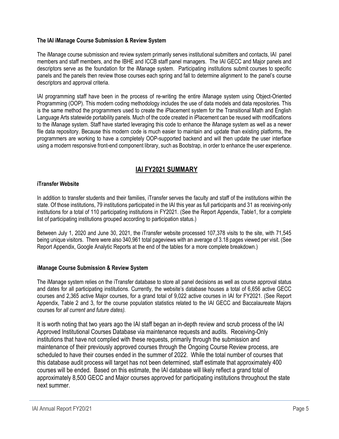#### **The IAI iManage Course Submission & Review System**

The iManage course submission and review system primarily serves institutional submitters and contacts, IAI panel members and staff members, and the IBHE and ICCB staff panel managers. The IAI GECC and Major panels and descriptors serve as the foundation for the iManage system. Participating institutions submit courses to specific panels and the panels then review those courses each spring and fall to determine alignment to the panel's course descriptors and approval criteria.

IAI programming staff have been in the process of re-writing the entire iManage system using Object-Oriented Programming (OOP). This modern coding methodology includes the use of data models and data repositories. This is the same method the programmers used to create the iPlacement system for the Transitional Math and English Language Arts statewide portability panels. Much of the code created in iPlacement can be reused with modifications to the iManage system. Staff have started leveraging this code to enhance the iManage system as well as a newer file data repository. Because this modern code is much easier to maintain and update than existing platforms, the programmers are working to have a completely OOP-supported backend and will then update the user interface using a modern responsive front-end component library, such as Bootstrap, in order to enhance the user experience.

#### **IAI FY2021 SUMMARY**

#### <span id="page-4-2"></span><span id="page-4-1"></span>**iTransfer Website**

In addition to transfer students and their families, iTransfer serves the faculty and staff of the institutions within the state. Of those institutions, 79 institutions participated in the IAI this year as full participants and 31 as receiving-only institutions for a total of 110 participating institutions in FY2021. (See the Report Appendix, Table1, for a complete list of participating institutions grouped according to participation status.)

Between July 1, 2020 and June 30, 2021, the iTransfer website processed 107,378 visits to the site, with 71,545 being unique visitors. There were also 340,961 total pageviews with an average of 3.18 pages viewed per visit. (See Report Appendix, Google Analytic Reports at the end of the tables for a more complete breakdown.)

#### <span id="page-4-0"></span>**iManage Course Submission & Review System**

The iManage system relies on the iTransfer database to store all panel decisions as well as course approval status and dates for all participating institutions. Currently, the website's database houses a total of 6,656 active GECC courses and 2,365 active Major courses, for a grand total of 9,022 active courses in IAI for FY2021. (See Report Appendix, Table 2 and 3, for the course population statistics related to the IAI GECC and Baccalaureate Majors courses for *all current and future dates).*

It is worth noting that two years ago the IAI staff began an in-depth review and scrub process of the IAI Approved Institutional Courses Database via maintenance requests and audits. Receiving-Only institutions that have not complied with these requests, primarily through the submission and maintenance of their previously approved courses through the Ongoing Course Review process, are scheduled to have their courses ended in the summer of 2022. While the total number of courses that this database audit process will target has not been determined, staff estimate that approximately 400 courses will be ended. Based on this estimate, the IAI database will likely reflect a grand total of approximately 8,500 GECC and Major courses approved for participating institutions throughout the state next summer.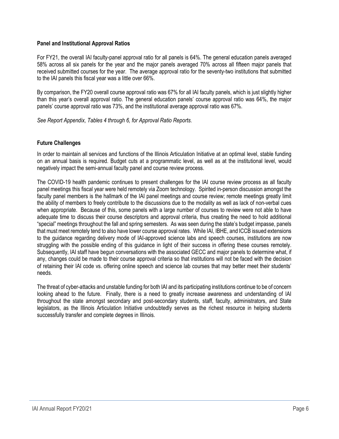#### <span id="page-5-0"></span>**Panel and Institutional Approval Ratios**

For FY21, the overall IAI faculty-panel approval ratio for all panels is 64%. The general education panels averaged 58% across all six panels for the year and the major panels averaged 70% across all fifteen major panels that received submitted courses for the year. The average approval ratio for the seventy-two institutions that submitted to the IAI panels this fiscal year was a little over 66%.

By comparison, the FY20 overall course approval ratio was 67% for all IAI faculty panels, which is just slightly higher than this year's overall approval ratio. The general education panels' course approval ratio was 64%, the major panels' course approval ratio was 73%, and the institutional average approval ratio was 67%.

*See Report Appendix, Tables 4 through 6, for Approval Ratio Reports.*

#### **Future Challenges**

In order to maintain all services and functions of the Illinois Articulation Initiative at an optimal level, stable funding on an annual basis is required. Budget cuts at a programmatic level, as well as at the institutional level, would negatively impact the semi-annual faculty panel and course review process.

The COVID-19 health pandemic continues to present challenges for the IAI course review process as all faculty panel meetings this fiscal year were held remotely via Zoom technology. Spirited in-person discussion amongst the faculty panel members is the hallmark of the IAI panel meetings and course review; remote meetings greatly limit the ability of members to freely contribute to the discussions due to the modality as well as lack of non-verbal cues when appropriate. Because of this, some panels with a large number of courses to review were not able to have adequate time to discuss their course descriptors and approval criteria, thus creating the need to hold additional "special" meetings throughout the fall and spring semesters. As was seen during the state's budget impasse, panels that must meet remotely tend to also have lower course approval rates. While IAI, IBHE, and ICCB issued extensions to the guidance regarding delivery mode of IAI-approved science labs and speech courses, institutions are now struggling with the possible ending of this guidance in light of their success in offering these courses remotely. Subsequently, IAI staff have begun conversations with the associated GECC and major panels to determine what, if any, changes could be made to their course approval criteria so that institutions will not be faced with the decision of retaining their IAI code vs. offering online speech and science lab courses that may better meet their students' needs.

The threat of cyber-attacks and unstable funding for both IAI and its participating institutions continue to be of concern looking ahead to the future. Finally, there is a need to greatly increase awareness and understanding of IAI throughout the state amongst secondary and post-secondary students, staff, faculty, administrators, and State legislators, as the Illinois Articulation Initiative undoubtedly serves as the richest resource in helping students successfully transfer and complete degrees in Illinois.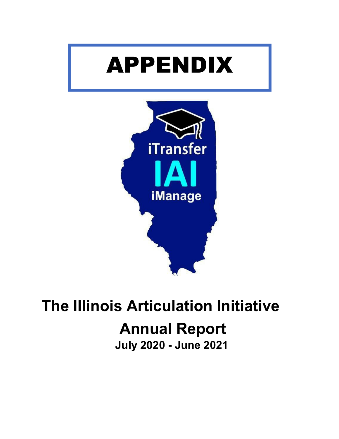# APPENDIX



## **The Illinois Articulation Initiative Annual Report**

**July 2020 - June 2021**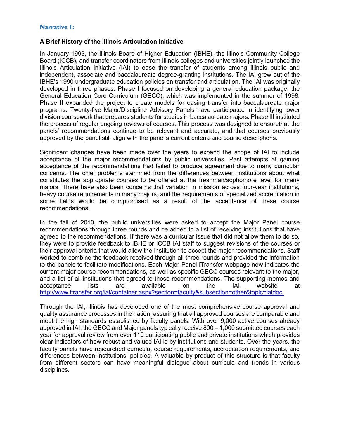#### **Narrative 1:**

#### **A Brief History of the Illinois Articulation Initiative**

In January 1993, the Illinois Board of Higher Education (IBHE), the Illinois Community College Board (ICCB), and transfer coordinators from Illinois colleges and universities jointly launched the Illinois Articulation Initiative (IAI) to ease the transfer of students among Illinois public and independent, associate and baccalaureate degree-granting institutions. The IAI grew out of the IBHE's 1990 undergraduate education policies on transfer and articulation. The IAI was originally developed in three phases. Phase I focused on developing a general education package, the General Education Core Curriculum (GECC), which was implemented in the summer of 1998. Phase II expanded the project to create models for easing transfer into baccalaureate major programs. Twenty-five Major/Discipline Advisory Panels have participated in identifying lower division coursework that prepares students for studies in baccalaureate majors. Phase III instituted the process of regular ongoing reviews of courses. This process was designed to ensurethat the panels' recommendations continue to be relevant and accurate, and that courses previously approved by the panel still align with the panel's current criteria and course descriptions.

Significant changes have been made over the years to expand the scope of IAI to include acceptance of the major recommendations by public universities. Past attempts at gaining acceptance of the recommendations had failed to produce agreement due to many curricular concerns. The chief problems stemmed from the differences between institutions about what constitutes the appropriate courses to be offered at the freshman/sophomore level for many majors. There have also been concerns that variation in mission across four-year institutions, heavy course requirements in many majors, and the requirements of specialized accreditation in some fields would be compromised as a result of the acceptance of these course recommendations.

In the fall of 2010, the public universities were asked to accept the Major Panel course recommendations through three rounds and be added to a list of receiving institutions that have agreed to the recommendations. If there was a curricular issue that did not allow them to do so, they were to provide feedback to IBHE or ICCB IAI staff to suggest revisions of the courses or their approval criteria that would allow the institution to accept the major recommendations. Staff worked to combine the feedback received through all three rounds and provided the information to the panels to facilitate modifications. Each Major Panel iTransfer webpage now indicates the current major course recommendations, as well as specific GECC courses relevant to the major, and a list of all institutions that agreed to those recommendations. The supporting memos and acceptance lists are available on the IAI website at [http://www.itransfer.org/iai/container.aspx?section=faculty&subsection=other&topic=iaidoc.](http://www.itransfer.org/iai/container.aspx?section=faculty&subsection=other&topic=iaidoc)

Through the IAI, Illinois has developed one of the most comprehensive course approval and quality assurance processes in the nation, assuring that all approved courses are comparable and meet the high standards established by faculty panels. With over 9,000 active courses already approved in IAI, the GECC and Major panels typically receive 800 – 1,000 submitted courses each year for approval review from over 110 participating public and private institutions which provides clear indicators of how robust and valued IAI is by institutions and students. Over the years, the faculty panels have researched curricula, course requirements, accreditation requirements, and differences between institutions' policies. A valuable by-product of this structure is that faculty from different sectors can have meaningful dialogue about curricula and trends in various disciplines.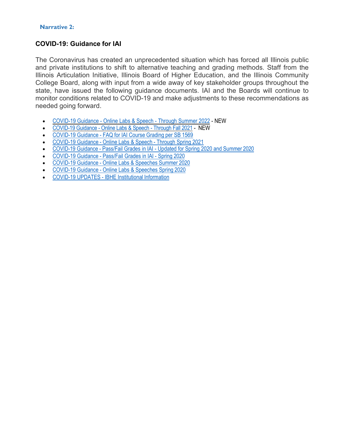#### **Narrative 2:**

#### **COVID-19: Guidance for IAI**

The Coronavirus has created an unprecedented situation which has forced all Illinois public and private institutions to shift to alternative teaching and grading methods. Staff from the Illinois Articulation Initiative, Illinois Board of Higher Education, and the Illinois Community College Board, along with input from a wide away of key stakeholder groups throughout the state, have issued the following guidance documents. IAI and the Boards will continue to monitor conditions related to COVID-19 and make adjustments to these recommendations as needed going forward.

- COVID-19 Guidance [Online Labs & Speech -](http://itransfer.org/downloads/GuidanceIAIonlinelabandspeechcoursesthroughSummer22UPDATED_10_21.pdf) Through Summer 2022 NEW
- COVID-19 Guidance [Online Labs & Speech -](http://itransfer.org/downloads/GuidanceforIAIonlinelabandspeechcoursesthroughFall21FINAL.pdf) Through Fall 2021 NEW
- COVID-19 Guidance FAQ for [IAI Course](http://itransfer.org/downloads/FAQforIAICourseGradingperSB1569Final.pdf) Grading per SB 1569
- [COVID-19](http://itransfer.org/downloads/GuidanceIAIonlinelabandspeechcoursesthroughSpr2021.Final.pdf) Guidance Online Labs & Speech Through Spring 2021
- [COVID-19](http://itransfer.org/downloads/Updated%20PF%20Guidance%20Draft%20for%20Summer%20-%20FINAL%20-%205.15.20.pdf) Guidance Pass/Fail Grades in IAI Updated for Spring 2020 and Summer 2020
- [COVID-19 Guidance](http://itransfer.org/downloads/ICCBIBHEIAIPassFailFINALGuidance20200409162636944.pdf) Pass/Fail Grades in IAI Spring 2020
- [COVID-19 Guidance](http://itransfer.org/downloads/GuidanceRegardingIAICourseswithOnlineLabsandSpeechesForSpringSummer2020TermsCOVID1920200409162636928.pdf) Online Labs & Speeches Summer 2020
- COVID-19 Guidance Online Labs [& Speeches](http://itransfer.org/downloads/IAIandStateAgencyGuidancereCourses_%20OnlineLabsandSpeeches.pdf) Spring 2020
- [COVID-19 UPDATES](https://www.ibhe.org/Institution_COVID-19.asp#1) IBHE Institutional Information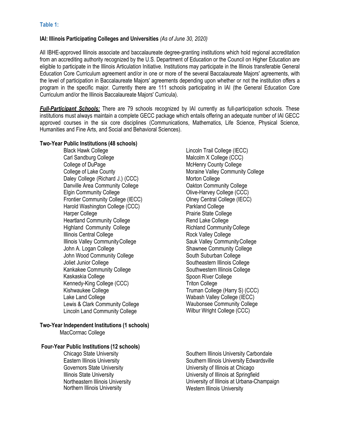#### **IAI: Illinois Participating Colleges and Universities** *(As of June 30, 2020)*

All IBHE-approved Illinois associate and baccalaureate degree-granting institutions which hold regional accreditation from an accrediting authority recognized by the U.S. Department of Education or the Council on Higher Education are eligible to participate in the Illinois Articulation Initiative. Institutions may participate in the Illinois transferable General Education Core Curriculum agreement and/or in one or more of the several Baccalaureate Majors' agreements, with the level of participation in Baccalaureate Majors' agreements depending upon whether or not the institution offers a program in the specific major. Currently there are 111 schools participating in IAI (the General Education Core Curriculum and/or the Illinois Baccalaureate Majors' Curricula).

*Full-Participant Schools:* There are 79 schools recognized by IAI currently as full-participation schools. These institutions must always maintain a complete GECC package which entails offering an adequate number of IAI GECC approved courses in the six core disciplines (Communications, Mathematics, Life Science, Physical Science, Humanities and Fine Arts, and Social and Behavioral Sciences).

#### **Two-Year Public Institutions (48 schools)**

Black Hawk College Carl Sandburg College College of DuPage College of Lake County Daley College (Richard J.) (CCC) Danville Area Community College Elgin Community College Frontier Community College (IECC) Harold Washington College (CCC) Harper College Heartland Community College Highland Community College Illinois Central College Illinois Valley CommunityCollege John A. Logan College John Wood Community College Joliet Junior College Kankakee Community College Kaskaskia College Kennedy-King College (CCC) Kishwaukee College Lake Land College Lewis & Clark Community College Lincoln Land Community College

#### **Two-Year Independent Institutions (1 schools)**

MacCormac College

#### **Four-Year Public Institutions (12 schools)**

Chicago State University Eastern Illinois University Governors State University Illinois State University Northeastern Illinois University Northern Illinois University

Lincoln Trail College (IECC) Malcolm X College (CCC) McHenry County College Moraine Valley Community College Morton College Oakton Community College Olive-Harvey College (CCC) Olney Central College (IECC) Parkland College Prairie State College Rend Lake College Richland CommunityCollege Rock Valley College Sauk Valley CommunityCollege Shawnee Community College South Suburban College Southeastern Illinois College Southwestern Illinois College Spoon River College Triton College Truman College (Harry S) (CCC) Wabash Valley College (IECC) Waubonsee Community College Wilbur Wright College (CCC)

Southern Illinois University Carbondale Southern Illinois University Edwardsville University of Illinois at Chicago University of Illinois at Springfield University of Illinois at Urbana-Champaign Western Illinois University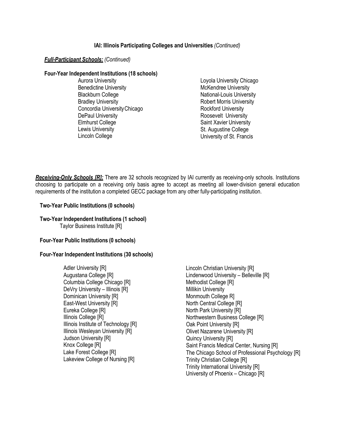#### **IAI: Illinois Participating Colleges and Universities** *(Continued)*

#### *Full-Participant Schools: (Continued)*

#### **Four-Year Independent Institutions (18 schools)**

Aurora University Benedictine University Blackburn College Bradley University Concordia UniversityChicago DePaul University Elmhurst College Lewis University Lincoln College

Loyola University Chicago McKendree University National-Louis University Robert Morris University Rockford University Roosevelt University Saint Xavier University St. Augustine College University of St. Francis

*Receiving-Only Schools [R]:* There are 32 schools recognized by IAI currently as receiving-only schools. Institutions choosing to participate on a receiving only basis agree to accept as meeting all lower-division general education requirements of the institution a completed GECC package from any other fully-participating institution.

#### **Two-Year Public Institutions (0 schools)**

#### **Two-Year Independent Institutions (1 school)** Taylor Business Institute [R]

#### **Four-Year Public Institutions (0 schools)**

#### **Four-Year Independent Institutions (30 schools)**

Adler University [R] Augustana College [R] Columbia College Chicago [R] DeVry University – Illinois [R] Dominican University [R] East-West University [R] Eureka College [R] Illinois College [R] Illinois Institute of Technology [R] Illinois Wesleyan University [R] Judson University [R] Knox College [R] Lake Forest College [R] Lakeview College of Nursing [R]

Lincoln Christian University [R] Lindenwood University – Belleville [R] Methodist College [R] Millikin University Monmouth College R] North Central College [R] North Park University [R] Northwestern Business College [R] Oak Point University [R] Olivet Nazarene University [R] Quincy University [R] Saint Francis Medical Center, Nursing [R] The Chicago School of Professional Psychology [R] Trinity Christian College [R] Trinity International University [R] University of Phoenix – Chicago [R]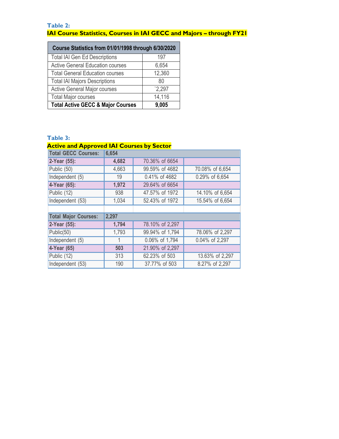#### **Table 2: IAI Course Statistics, Courses in IAI GECC and Majors – through FY21**

| Course Statistics from 01/01/1998 through 6/30/2020 |        |
|-----------------------------------------------------|--------|
| <b>Total IAI Gen Ed Descriptions</b>                | 197    |
| <b>Active General Education courses</b>             | 6,654  |
| <b>Total General Education courses</b>              | 12,360 |
| <b>Total IAI Majors Descriptions</b>                | 80     |
| <b>Active General Major courses</b>                 | '2,297 |
| <b>Total Major courses</b>                          | 14,116 |
| <b>Total Active GECC &amp; Major Courses</b>        | 9,005  |

#### **Table 3:**

| <b>Active and Approved IAI Courses by Sector</b> |              |                 |                 |
|--------------------------------------------------|--------------|-----------------|-----------------|
| <b>Total GECC Courses:</b>                       | 6,654        |                 |                 |
| 2-Year (55):                                     | 4,682        | 70.36% of 6654  |                 |
| Public (50)                                      | 4,663        | 99.59% of 4682  | 70.08% of 6,654 |
| Independent (5)                                  | 19           | 0.41% of 4682   | 0.29% of 6,654  |
| 4-Year (65):                                     | 1,972        | 29.64% of 6654  |                 |
| Public (12)                                      | 938          | 47.57% of 1972  | 14.10% of 6,654 |
| Independent (53)                                 | 1,034        | 52.43% of 1972  | 15.54% of 6,654 |
|                                                  |              |                 |                 |
| <b>Total Major Courses:</b>                      | 2,297        |                 |                 |
| 2-Year (55):                                     | 1,794        | 78.10% of 2,297 |                 |
| Public(50)                                       | 1,793        | 99.94% of 1,794 | 78.06% of 2,297 |
| Independent (5)                                  | $\mathbf{1}$ | 0.06% of 1,794  | 0.04% of 2,297  |
| 4-Year (65)                                      | 503          | 21.90% of 2,297 |                 |
| Public (12)                                      | 313          | 62.23% of 503   | 13.63% of 2,297 |
|                                                  |              |                 |                 |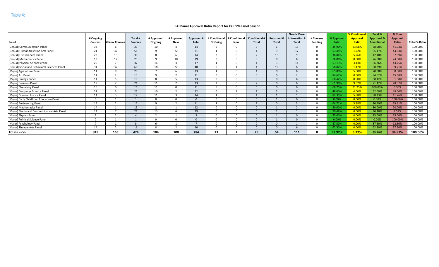#### **IAI Panel Approval Ratio Report for Fall '20 Panel Season**

|                                              |                |               |                |            |            |                   |               |               |                      |              | <b>Needs More</b> |           |              | % Conditiona | Total %               | % Non-          |                      |
|----------------------------------------------|----------------|---------------|----------------|------------|------------|-------------------|---------------|---------------|----------------------|--------------|-------------------|-----------|--------------|--------------|-----------------------|-----------------|----------------------|
|                                              | # Ongoing      |               | Total          | # Approved | # Approved | <b>Approved #</b> | # Conditional | # Conditional | <b>Conditional #</b> | Returned     | Information       | # Courses | % Approval   | Approva      | <b>Approved &amp;</b> | <b>Approval</b> |                      |
| Panel                                        | <b>Courses</b> | # New Courses | <b>Courses</b> | Ongoing    | New        | Total             | OnGoing       | <b>New</b>    | <b>Total</b>         | <b>Total</b> | <b>Total</b>      | Pending   | <b>Ratio</b> | Ratio        | <b>Conditional</b>    | Ratio           | <b>Total % Ratio</b> |
| [GenEd] Communication Panel                  | 33             |               | 39             | 10         |            | 14                |               |               | $\Omega$             |              | 15                |           | 35.90%       | 23.08%       | 58.98%                | 41.03%          | 100.00%              |
| [GenEd] Humanities/Fine Arts Panel           | 21             | 37            | 58             | $\Omega$   | 22         | 31                |               | $\Omega$      |                      |              | 17                | $\Omega$  | 53.45%       | 1.72%        | 55.17%                | 44.83%          | 100.00%              |
| [GenEd] Life Sciences Panel                  | 23             | 15            | 38             |            |            | 14                |               |               |                      | 13           |                   |           | 36.84%       | 5.26%        | 42.10%                | 57.89%          | 100.00%              |
| [GenEd] Mathematics Panel                    | 13             | 12            | 25             |            | 10         | 19                |               |               |                      |              |                   |           | 76.00%       | 0.00%        | 76.00%                | 24.00%          | 100.00%              |
| [GenEd] Physical Sciences Panel              | 25             |               | 32             | 14         |            | 17                |               |               |                      |              | 11                |           | 53.13%       | 3.13%        | 56.26%                | 43.75%          | 100.00%              |
| [GenEd] Social and Behavioral Sciences Panel | 31             | 37            | 68             | 18         | 22         | 40                |               |               |                      | 19           |                   |           | 58.82%       | 1.47%        | 60.29%                | 39.71%          | 100.00%              |
| [Major] Agriculture Panel                    | 11             | $\Omega$      | 20             |            |            | 13                |               |               |                      |              |                   |           | 65.00%       | 5.00%        | 70.00%                | 30.00%          | 100.00%              |
| [Major] Art Panel                            | 11             |               | 13             |            |            | 11                |               |               | $\Omega$             |              |                   |           | 84.62%       | 0.00%        | 84.62%                | 15.38%          | 100.00%              |
| [Major] Biology Panel                        | 14             |               | 19             |            |            | 13                |               |               | $\Omega$             |              |                   |           | 68.42%       | 0.00%        | 68.42%                | 31.58%          | 100.00%              |
| [Major] Business Panel                       | 19             |               | 21             | 11         |            | 13                |               |               |                      |              |                   |           | 61.90%       | 9.52%        | 71.42%                | 28.57%          | 100.00%              |
| [Major] Chemistry Panel                      | 16             |               | 16             | 11         | $\Omega$   | 11                |               |               |                      |              |                   |           | 68.75%       | 31.25%       | 100.00%               | 0.00%           | 100.00%              |
| [Major] Computer Science Panel               | 22             |               | 25             | 10         |            | 12                |               |               |                      |              |                   |           | 48.00%       | 4.00%        | 52.00%                | 48.00%          | 100.00%              |
| [Major] Criminal Justice Panel               | 14             |               |                | 11         |            | 14                |               |               |                      |              |                   |           | 82.35%       | 5.88%        | 88.23%                | 11.76%          | 100.00%              |
| [Major] Early Childhood Education Panel      |                |               |                |            |            |                   |               |               |                      |              |                   |           | 0.00%        | 0.00%        | 0.00%                 | 100.00%         | 100.00%              |
| [Major] Engineering Panel                    | 15             |               | 17             |            |            |                   |               |               |                      |              |                   |           | 64.71%       | 5.88%        | 70.59%                | 29.41%          | 100.00%              |
| [Major] Mathematics Panel                    | 14             |               | 15             | 11         |            | 12                |               |               | $\Omega$             |              |                   |           | 80.00%       | 0.00%        | 80.00%                | 20.00%          | 100.00%              |
| [Major] Media and Communication Arts Panel   | 14             |               | 21             | 13         |            | 19                |               |               |                      |              |                   |           | 90.48%       | 0.00%        | 90.48%                | 9.52%           | 100.00%              |
| [Major] Physics Panel                        |                |               |                |            |            |                   |               |               |                      |              |                   |           | 75.00%       | 0.00%        | 75.00%                | 25.00%          | 100.00%              |
| [Major] Political Science Panel              |                |               |                |            |            |                   |               |               |                      |              |                   |           | 0.00%        | 0.00%        | 0.00%                 | 100.00%         | 100.00%              |
| [Major] Psychology Panel                     |                |               |                |            |            |                   |               |               |                      |              |                   |           | 87.50%       | 0.00%        | 87.50%                | 12.50%          | 100.00%              |
| [Major] Theatre Arts Panel                   | 14             |               |                |            |            | 10                |               |               | $\Omega$             |              |                   |           | 62.50%       | 0.00%        | 62.50%                | 37.50%          | 100.00%              |
| Totals ==>>                                  | 319            | 155           | 474            | 184        | 100        | 284               | 23            |               | 25                   | 54           | 111               |           | 59.92%       | 5.27%        | 65.19%                | 34.81%          | 100.00%              |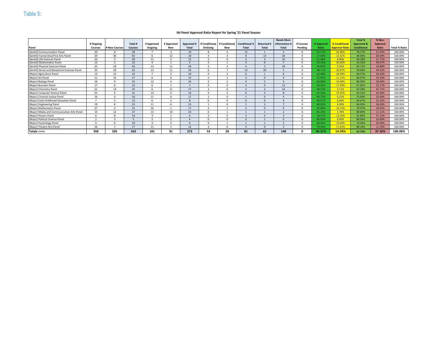#### **IAI Panel Approval Ratio Report for Spring '21 Panel Season**

|                                              |           |                    |                 |            |            |                 |               |               |                      |                  | <b>Needs More</b> |           |            |                       | <b>Total %</b>     | % Non-          |                      |
|----------------------------------------------|-----------|--------------------|-----------------|------------|------------|-----------------|---------------|---------------|----------------------|------------------|-------------------|-----------|------------|-----------------------|--------------------|-----------------|----------------------|
|                                              | # Ongoing |                    | Total #         | # Approved | # Approved | Approved        | # Conditional | # Conditional | <b>Conditional #</b> | <b>Returned#</b> | Information &     | # Courses | % Approval | <b>% Conditiona</b>   | Approved &         | <b>Approval</b> |                      |
| Panel                                        | Courses   | <b>New Courses</b> | Courses         | Ongoing    | <b>New</b> | Total           | OnGoing       | <b>New</b>    | <b>Total</b>         | Total            | <b>Total</b>      | Pending   | Ratio      | <b>Approval Ratio</b> | <b>Conditional</b> | Ratio           | <b>Total % Ratio</b> |
| [GenEd] Communication Panel                  | 20        |                    | 28              |            | $\sim$     | 10 <sup>1</sup> |               |               | 12                   |                  |                   |           | 35.71%     | 42.86%                | 78.57%             | 21.43%          | 100.00%              |
| [GenEd] Humanities/Fine Arts Panel           | 29        | 36                 | 65              |            | 12         | 18              |               |               |                      | 13               | 26                |           | 27.69%     | 12.31%                | 40.00%             | 60.00%          | 100.00%              |
| [GenEd] Life Sciences Panel                  | 24        |                    | 29              | 11         |            | 12              |               |               |                      |                  | 10 <sup>1</sup>   |           | 41.38%     | 6.90%                 | 48.28%             | 51.72%          | 100.00%              |
| [GenEd] Mathematics Panel                    | 12        |                    | 15.             |            |            |                 |               |               |                      |                  |                   |           | 33.33%     | 20.00%                | 53.33%             | 46.67%          | 100.00%              |
| [GenEd] Physical Sciences Panel              | 25        | 18                 | 43              | 13         | 11         | 24              |               |               |                      |                  | 10                |           | 55.81%     | 9.30%                 | 65.11%             | 34.88%          | 100.00%              |
| [GenEd] Social and Behavioral Sciences Panel | 33        | 29                 | 62              | 13         | 11         | 24              |               |               |                      | 20               |                   |           | 38.71%     | 20.97%                | 59.68%             | 40.32%          | 100.00%              |
| [Major] Agriculture Panel                    | 13        | 10                 | 23              |            |            | 10              |               |               |                      |                  |                   |           | 43.48%     | 26.09%                | 69.57%             | 30.43%          | 100.00%              |
| [Major] Art Panel                            | 11        | 16                 | 27              |            |            | 15              |               |               |                      |                  |                   |           | 55.56%     | 11.11%                | 66.67%             | 33.33%          | 100.00%              |
| [Major] Biology Panel                        | 16        |                    | 25              | 12         |            | 16              |               |               |                      |                  |                   |           | 64.00%     | 16.00%                | 80.00%             | 20.00%          | 100.00%              |
| [Major] Business Panel                       | 17        |                    | 23              |            |            |                 |               |               |                      |                  | 12                |           | 30.43%     | 17.39%                | 47.82%             | 52.17%          | 100.00%              |
| [Major] Chemistry Panel                      | 21        | 14                 | 35              |            | 11         | 17              |               |               |                      |                  | 14                |           | 48.57%     | 5.71%                 | 54.28%             | 45.71%          | 100.00%              |
| [Major] Computer Science Panel               | 25        |                    | 31              | 14         | $\Omega$   | 14              |               |               |                      |                  | C                 |           | 45.16%     | 19.35%                | 64.51%             | 35.48%          | 100.00%              |
| [Major] Criminal Justice Panel               | 16        |                    | 16              | 11         |            | 11              |               |               |                      |                  |                   |           | 68.75%     | 6.25%                 | 75.00%             | 25.00%          | 100.00%              |
| [Major] Early Childhood Education Panel      |           |                    | 12              |            |            |                 |               |               |                      |                  |                   |           | 66.67%     | 0.00%                 | 66.67%             | 33.33%          | 100.00%              |
| [Major] Engineering Panel                    | 19        |                    | 25              | 11         |            | 15              |               |               |                      |                  |                   |           | 60.00%     | 4.00%                 | 64.00%             | 36.00%          | 100.00%              |
| [Major] Mathematics Panel                    | 27        |                    | 31              | 16         |            | 17              |               |               |                      |                  | $\epsilon$        |           | 54.84%     | 16.13%                | 70.97%             | 29.03%          | 100.00%              |
| [Major] Media and Communication Arts Panel   | 15        | 12                 | 27              | 13         | 10         | 23              |               |               |                      |                  |                   |           | 85.19%     | 3.70%                 | 88.89%             | 11.11%          | 100.00%              |
| [Major] Physics Panel                        |           |                    | 14              |            |            |                 |               |               |                      |                  |                   |           | 28.57%     | 14.29%                | 42.86%             | 57.14%          | 100.00%              |
| [Major] Political Science Panel              |           |                    |                 |            |            |                 |               |               |                      |                  |                   |           | 80.00%     | 0.00%                 | 80.00%             | 20.00%          | 100.00%              |
| [Major] Psychology Panel                     |           |                    | 10 <sup>1</sup> |            |            |                 |               |               |                      |                  |                   |           | 60.00%     | 10.00%                | 70.00%             | 30.00%          | 100.00%              |
| [Major] Theatre Arts Panel                   | 16        |                    | 17              | 11         |            | 12              |               |               |                      |                  |                   |           | 70.59%     | 17.65%                | 88.24%             | 11.76%          | 100.00%              |
| Totals ==>>                                  | 358       | 205                | 563             | 181        | 91         | 272             | 53            | 28            | 81                   | 62               | 148               |           | 48.31%     | 14.39%                | 62.70%             | 37.30%          | 100.00%              |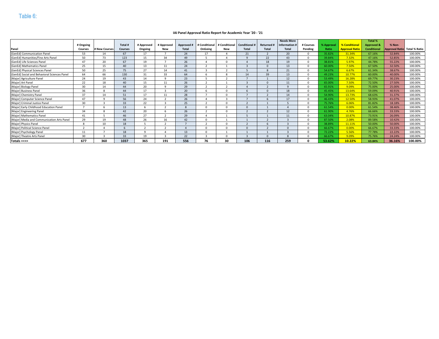#### **IAI Panel Approval Ratio Report for Academic Year '20 - '21**

|                                              |                |                 |                |            |            |              |               |              |             |              | <b>Needs More</b> |           |                  |                       | <b>Total %</b>        |                              |         |
|----------------------------------------------|----------------|-----------------|----------------|------------|------------|--------------|---------------|--------------|-------------|--------------|-------------------|-----------|------------------|-----------------------|-----------------------|------------------------------|---------|
|                                              | # Ongoing      |                 | Total #        | # Approved | # Approved | Approved     | # Conditional | # Conditiona | Conditional | Returned #   | Information       | # Courses | <b>6 Approva</b> | % Conditional         | <b>Approved &amp;</b> | % Non-                       |         |
| Panel                                        | <b>Courses</b> | # New Courses   | <b>Courses</b> | Ongoing    | New        | <b>Total</b> | OnGoing       | <b>New</b>   | Total       | <b>Total</b> | <b>Total</b>      | Pending   | Ratio            | <b>Approval Ratio</b> | <b>Conditional</b>    | Approval Ratio Total % Ratio |         |
| [GenEd] Communication Panel                  | 53             | 14              | 67             | 17         |            | 24           | 17            |              | 21          |              | 20                | $\Omega$  | 35.82%           | 31.34%                | 67.16%                | 32.84%                       | 100.00% |
| [GenEd] Humanities/Fine Arts Panel           | 50             | 73              | 123            | 15         | 34         | 49           |               |              |             | 22           | 43                |           | 39.84%           | 7.32%                 | 47.16%                | 52.85%                       | 100.00% |
| [GenEd] Life Sciences Panel                  | 47             | 20              | 67             | 19         |            | 26           |               |              |             | 18           | 19                | $\Omega$  | 38.81%           | 5.97%                 | 44.78%                | 55.22%                       | 100.00% |
| [GenEd] Mathematics Panel                    | 25             | 15              | 40             | 13         |            | 24           |               |              |             |              | 13                |           | 60.00%           | 7.50%                 | 67.50%                | 32.50%                       | 100.00% |
| [GenEd] Physical Sciences Panel              | 50             | 25              | 75             | 27         | 14         | 41           |               |              |             | $\Omega$     | 21                | $\Omega$  | 54.67%           | 6.67%                 | 61.34%                | 38.67%                       | 100.00% |
| [GenEd] Social and Behavioral Sciences Panel | 64             | 66              | 130            | 31         | 33         | 64           |               |              | 14          | 39           | 13                | $\Omega$  | 49.23%           | 10.77%                | 60.00%                | 40.00%                       | 100.00% |
| [Major] Agriculture Panel                    | 24             | 19              | 43             | 14         | $\sim$     | 23           |               |              |             |              | 12                | $\Omega$  | 53.49%           | 16.28%                | 69.77%                | 30.23%                       | 100.00% |
| [Major] Art Panel                            | 22             | 18              | 40             | 15         | 11         | 26           |               |              |             |              | 11                |           | 65.00%           | 7.50%                 | 72.50%                | 27.50%                       | 100.00% |
| [Major] Biology Panel                        | 30             | 14              | 44             | 20         |            | 29           |               |              |             |              | $\Omega$          |           | 65.91%           | 9.09%                 | 75.00%                | 25.00%                       | 100.00% |
| [Major] Business Panel                       | 36             |                 | 44             |            |            | 20           |               |              |             |              | 18                |           | 45.45%           | 13.64%                | 59.09%                | 40.91%                       | 100.00% |
| [Major] Chemistry Panel                      | 37             |                 | 51             | 17         |            | 28           |               |              |             |              | 14                |           | 54.90%           | 13.73%                | 68.63%                | 31.37%                       | 100.00% |
| [Major] Computer Science Panel               | 47             |                 | 56             | 24         |            | 26           |               |              |             |              | 17                | $\Omega$  | 46.43%           | 12.50%                | 58.93%                | 41.07%                       | 100.00% |
| [Major] Criminal Justice Panel               | 30             |                 | 33             | 22         |            | 25           |               |              |             |              |                   |           | 75.76%           | 6.06%                 | 81.82%                | 18.18%                       | 100.00% |
| [Major] Early Childhood Education Panel      |                |                 | 13             |            |            |              |               |              |             |              |                   |           | 61.54%           | 0.00%                 | 61.54%                | 38.46%                       | 100.00% |
| [Major] Engineering Panel                    | 34             |                 | 42             | 20         |            | 26           |               |              |             |              | 12                | $\Omega$  | 61.90%           | 4.76%                 | 66.66%                | 33.33%                       | 100.00% |
| [Major] Mathematics Panel                    | 41             |                 | 46             | 27         |            | 29           |               |              |             |              | 11                | $\Omega$  | 63.04%           | 10.87%                | 73.91%                | 26.09%                       | 100.00% |
| [Major] Media and Communication Arts Panel   | 29             | 19              | 48             | 26         | 16         | 42           |               |              |             |              |                   |           | 87.50%           | 2.08%                 | 89.58%                | 10.42%                       | 100.00% |
| [Major] Physics Panel                        | $\circ$        | 10 <sup>1</sup> | 18             |            |            |              |               |              |             |              |                   |           | 38.89%           | 11.11%                | 50.00%                | 50.00%                       | 100.00% |
| [Major] Political Science Panel              | -              |                 |                |            |            |              |               |              |             |              |                   |           | 66.67%           | 0.00%                 | 66.67%                | 33.33%                       | 100.00% |
| [Major] Psychology Panel                     | 11             |                 | 18             | $\Omega$   |            | 13           |               |              |             |              |                   |           | 72.22%           | 5.56%                 | 77.78%                | 22.22%                       | 100.00% |
| [Major] Theatre Arts Panel                   | 30             |                 | 33             | 19         |            | 22           |               |              |             |              |                   |           | 66.67%           | 9.09%                 | 75.76%                | 24.24%                       | 100.00% |
| Totals ==>>                                  | 677            | 360             | 1037           | 365        | 191        | 556          | 76            | 30           | 106         | 116          | 259               |           | 53.62%           | 10.22%                | 63.84%                | 36.16%                       | 100.00% |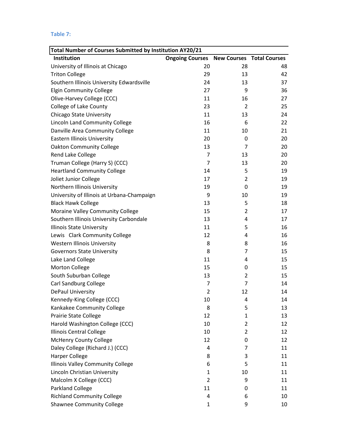#### **Table 7:**

| Total Number of Courses Submitted by Institution AY20/21 |                                                  |                |    |
|----------------------------------------------------------|--------------------------------------------------|----------------|----|
| Institution                                              | <b>Ongoing Courses New Courses Total Courses</b> |                |    |
| University of Illinois at Chicago                        | 20                                               | 28             | 48 |
| <b>Triton College</b>                                    | 29                                               | 13             | 42 |
| Southern Illinois University Edwardsville                | 24                                               | 13             | 37 |
| <b>Elgin Community College</b>                           | 27                                               | 9              | 36 |
| Olive-Harvey College (CCC)                               | 11                                               | 16             | 27 |
| <b>College of Lake County</b>                            | 23                                               | $\overline{2}$ | 25 |
| Chicago State University                                 | 11                                               | 13             | 24 |
| Lincoln Land Community College                           | 16                                               | 6              | 22 |
| Danville Area Community College                          | 11                                               | 10             | 21 |
| <b>Eastern Illinois University</b>                       | 20                                               | 0              | 20 |
| <b>Oakton Community College</b>                          | 13                                               | 7              | 20 |
| Rend Lake College                                        | $\overline{7}$                                   | 13             | 20 |
| Truman College (Harry S) (CCC)                           | 7                                                | 13             | 20 |
| <b>Heartland Community College</b>                       | 14                                               | 5              | 19 |
| Joliet Junior College                                    | 17                                               | $\overline{2}$ | 19 |
| Northern Illinois University                             | 19                                               | 0              | 19 |
| University of Illinois at Urbana-Champaign               | 9                                                | 10             | 19 |
| <b>Black Hawk College</b>                                | 13                                               | 5              | 18 |
| Moraine Valley Community College                         | 15                                               | $\overline{2}$ | 17 |
| Southern Illinois University Carbondale                  | 13                                               | 4              | 17 |
| <b>Illinois State University</b>                         | 11                                               | 5              | 16 |
| Lewis Clark Community College                            | 12                                               | 4              | 16 |
| Western Illinois University                              | 8                                                | 8              | 16 |
| <b>Governors State University</b>                        | 8                                                | 7              | 15 |
| Lake Land College                                        | 11                                               | 4              | 15 |
| <b>Morton College</b>                                    | 15                                               | 0              | 15 |
| South Suburban College                                   | 13                                               | 2              | 15 |
| <b>Carl Sandburg College</b>                             | 7                                                | 7              | 14 |
| DePaul University                                        | $\overline{2}$                                   | 12             | 14 |
| Kennedy-King College (CCC)                               | 10                                               | 4              | 14 |
| Kankakee Community College                               | 8                                                | 5              | 13 |
| <b>Prairie State College</b>                             | 12                                               | $\mathbf{1}$   | 13 |
| Harold Washington College (CCC)                          | 10                                               | 2              | 12 |
| <b>Illinois Central College</b>                          | 10                                               | 2              | 12 |
| <b>McHenry County College</b>                            | 12                                               | 0              | 12 |
| Daley College (Richard J.) (CCC)                         | 4                                                | 7              | 11 |
| <b>Harper College</b>                                    | 8                                                | 3              | 11 |
| Illinois Valley Community College                        | 6                                                | 5              | 11 |
| Lincoln Christian University                             | 1                                                | 10             | 11 |
| Malcolm X College (CCC)                                  | 2                                                | 9              | 11 |
| <b>Parkland College</b>                                  | 11                                               | 0              | 11 |
| <b>Richland Community College</b>                        | 4                                                | 6              | 10 |
| <b>Shawnee Community College</b>                         | $\mathbf{1}$                                     | 9              | 10 |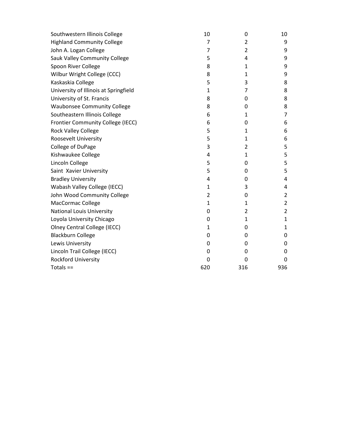| Southwestern Illinois College         | 10           | 0              | 10             |
|---------------------------------------|--------------|----------------|----------------|
| <b>Highland Community College</b>     | 7            | 2              | 9              |
| John A. Logan College                 | 7            | 2              | 9              |
| Sauk Valley Community College         | 5            | 4              | 9              |
| Spoon River College                   | 8            | 1              | 9              |
| Wilbur Wright College (CCC)           | 8            | 1              | 9              |
| Kaskaskia College                     | 5            | 3              | 8              |
| University of Illinois at Springfield | $\mathbf{1}$ | 7              | 8              |
| University of St. Francis             | 8            | 0              | 8              |
| <b>Waubonsee Community College</b>    | 8            | 0              | 8              |
| Southeastern Illinois College         | 6            | 1              | 7              |
| Frontier Community College (IECC)     | 6            | 0              | 6              |
| <b>Rock Valley College</b>            | 5            | 1              | 6              |
| Roosevelt University                  | 5            | $\mathbf{1}$   | 6              |
| College of DuPage                     | 3            | $\overline{2}$ | 5              |
| Kishwaukee College                    | 4            | $\mathbf{1}$   | 5              |
| Lincoln College                       | 5            | 0              | 5              |
| Saint Xavier University               | 5            | 0              | 5              |
| <b>Bradley University</b>             | 4            | 0              | 4              |
| Wabash Valley College (IECC)          | 1            | 3              | 4              |
| John Wood Community College           | 2            | 0              | 2              |
| <b>MacCormac College</b>              | $\mathbf{1}$ | $\mathbf{1}$   | $\overline{2}$ |
| <b>National Louis University</b>      | 0            | $\overline{2}$ | $\overline{2}$ |
| Loyola University Chicago             | 0            | $\mathbf{1}$   | 1              |
| <b>Olney Central College (IECC)</b>   | 1            | 0              | 1              |
| <b>Blackburn College</b>              | 0            | 0              | 0              |
| Lewis University                      | 0            | 0              | 0              |
| Lincoln Trail College (IECC)          | 0            | 0              | 0              |
| Rockford University                   | $\mathbf 0$  | 0              | 0              |
| Totals $==$                           | 620          | 316            | 936            |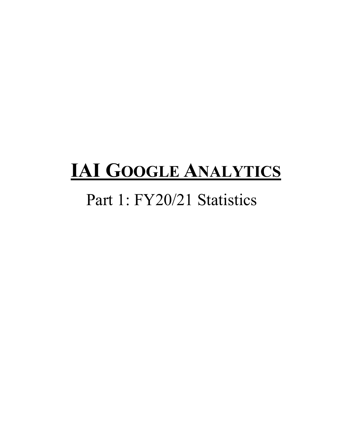### **IAI GOOGLE ANALYTICS**

### Part 1: FY20/21 Statistics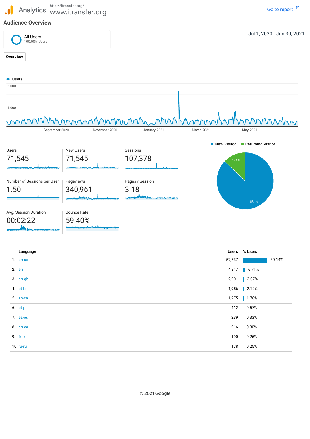#### http://itransfer.org/  $\mathbf{a}$ Analytics www.itransfer.org

#### **Audience Overview**



Go to [report](https://analytics.google.com/analytics/web/?authuser=1&utm_source=pdfReportLink#/report/visitors-overview/a3033830w5649316p5830082/_u.date00=20200701&_u.date01=20210630)  $\boxtimes$ 

| Language   | Users % Users                 |  |
|------------|-------------------------------|--|
| 1. en-us   | 80.14%<br>57,537              |  |
| 2. en      | $\blacksquare$ 6.71%<br>4,817 |  |
| 3. en-gb   | 3.07%<br>2,201                |  |
| 4. pt-br   | 2.72%<br>1,956                |  |
| 5. zh-cn   | $1.78%$<br>1,275              |  |
| 6. pt-pt   | 412   0.57%                   |  |
| 7. es-es   | 0.33%<br>239                  |  |
| 8. en-ca   | $  0.30\%$<br>216             |  |
| 9. $fr-fr$ | 0.26%<br>190                  |  |
| 10. ru-ru  | 178<br>0.25%                  |  |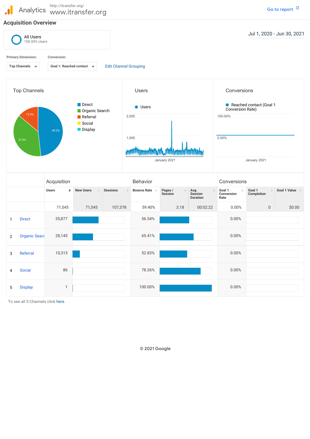http://itransfer.org/  $\mathbf{J}$ Analytics www.itransfer.org

#### **Acquisition Overview**



To see all 5 Channels click here.

© 2021 Google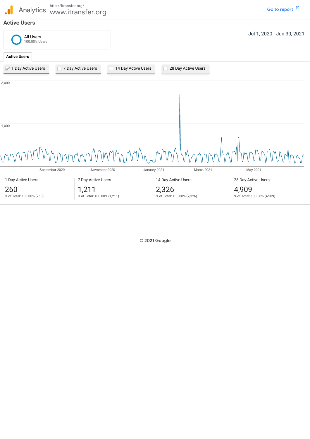

© 2021 Google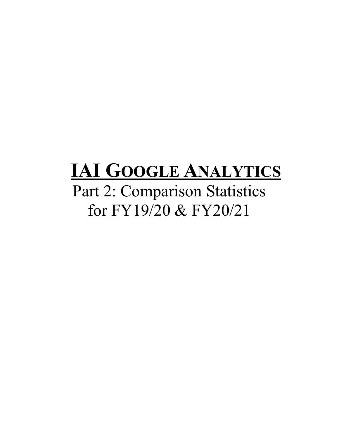### **IAI GOOGLE ANALYTICS**

Part 2: Comparison Statistics for FY19/20 & FY20/21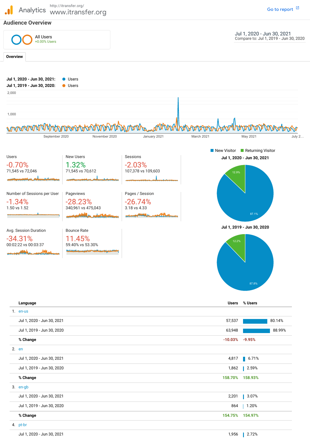Analytics www.itransfer.org http://itransfer.org/

**Audience Overview**



**% Change**

#### 4. pt-br

| 1,956<br>Jul 1, 2020 - Jun 30, 2021 |
|-------------------------------------|
|-------------------------------------|

**154.75% 154.97%**

2.72%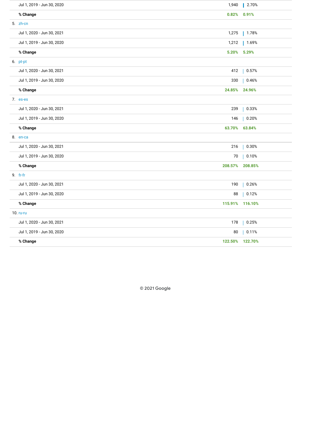| Jul 1, 2019 - Jun 30, 2020<br>1,940 | $\vert$ 2.70% |
|-------------------------------------|---------------|
| % Change<br>0.82%                   | 0.91%         |
| 5. zh-cn                            |               |
| Jul 1, 2020 - Jun 30, 2021<br>1,275 | $\  1.78%$    |
| Jul 1, 2019 - Jun 30, 2020<br>1,212 | $1.69%$       |
| % Change<br>5.20%                   | $5.29\%$      |
| 6. pt-pt                            |               |
| Jul 1, 2020 - Jun 30, 2021<br>412   | 0.57%         |
| 330<br>Jul 1, 2019 - Jun 30, 2020   | 0.46%         |
| % Change<br>24.85%                  | 24.96%        |
| 7. es-es                            |               |
| Jul 1, 2020 - Jun 30, 2021<br>239   | 0.33%         |
| Jul 1, 2019 - Jun 30, 2020<br>146   | 0.20%         |
| % Change<br>63.70%                  | 63.84%        |
| 8. en-ca                            |               |
| Jul 1, 2020 - Jun 30, 2021<br>216   | 0.30%         |
|                                     |               |
| Jul 1, 2019 - Jun 30, 2020<br>70    | 0.10%         |
| % Change<br>208.57%                 | 208.85%       |
| 9. fr-fr                            |               |
| Jul 1, 2020 - Jun 30, 2021<br>190   | 0.26%         |
| Jul 1, 2019 - Jun 30, 2020<br>88    | 0.12%         |
| % Change<br>115.91%                 | 116.10%       |
| 10. ru-ru                           |               |
| Jul 1, 2020 - Jun 30, 2021<br>178   | 0.25%         |
| Jul 1, 2019 - Jun 30, 2020<br>80    | 0.11%         |

© 2021 Google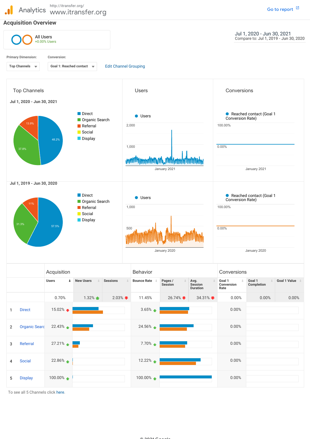

To see all 5 Channels click here.

27.21%

 $22.86\%$ 

100.00%

H

3 Referral

4 Social

5 Display

7.70%

0.00%

0.00%

0.00%

12.22%

100.00%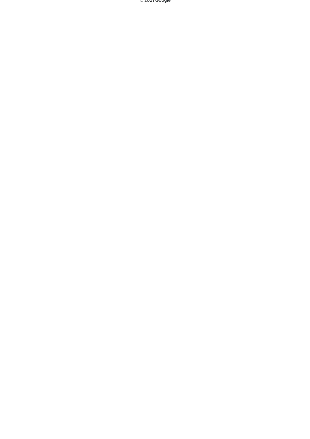© 2021 Google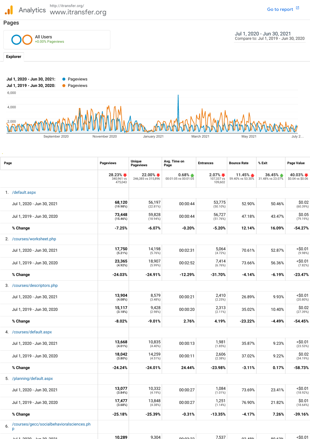http://itransfer.org/  $\ddot{\phantom{a}}$ Analytics www.itransfer.org **Pages** All Users +0.00% Pageviews

**Explorer**

Jul 1, 2020 - Jun 30, 2021 Compare to: Jul 1, 2019 - Jun 30, 2020

Go to [report](https://analytics.google.com/analytics/web/?authuser=1&utm_source=pdfReportLink#/report/content-pages/a3033830w5649316p5830082/_u.date00=20200701&_u.date01=20210630&_u.date10=20190701&_u.date11=20200630)  $\boxtimes$ 



| Page                                                 | <b>Pageviews</b>                  | <b>Unique</b><br><b>Pageviews</b> | Avg. Time on<br>Page                         | <b>Entrances</b>                  | <b>Bounce Rate</b>         | % Exit                                   | Page Value                           |
|------------------------------------------------------|-----------------------------------|-----------------------------------|----------------------------------------------|-----------------------------------|----------------------------|------------------------------------------|--------------------------------------|
|                                                      | 28.23% ₩<br>340,961 vs<br>475,043 | 22.00% ₩<br>246,385 vs 315,896    | $0.68\%$ $\triangle$<br>00:01:05 vs 00:01:05 | $2.07\%$<br>107,337 vs<br>109,602 | 11.45%<br>59.40% vs 53.30% | $36.45%$ $\triangle$<br>31.48% vs 23.07% | 40.03% $\bullet$<br>\$0.04 vs \$0.06 |
| 1. /default.aspx                                     |                                   |                                   |                                              |                                   |                            |                                          |                                      |
| Jul 1, 2020 - Jun 30, 2021                           | 68,120<br>(19.98%)                | 56,197<br>(22.81%)                | 00:00:44                                     | 53,775<br>$(50.10\%)$             | 52.90%                     | 50.46%                                   | \$0.02<br>(60.39%)                   |
| Jul 1, 2019 - Jun 30, 2020                           | 73,448<br>(15.46%)                | 59,828<br>(18.94%)                | 00:00:44                                     | 56,727<br>(51.76%)                | 47.18%                     | 43.47%                                   | \$0.05<br>(79.19%)                   |
| % Change                                             | $-7.25%$                          | $-6.07%$                          | $-0.20%$                                     | $-5.20%$                          | 12.14%                     | 16.09%                                   | $-54.27%$                            |
| 2. /courses/worksheet.php                            |                                   |                                   |                                              |                                   |                            |                                          |                                      |
| Jul 1, 2020 - Jun 30, 2021                           | 17,750<br>(5.21%)                 | 14,198<br>(5.76%)                 | 00:02:31                                     | 5,064<br>(4.72%)                  | 70.61%                     | 52.87%                                   | $<$ \$0.01<br>(9.98%)                |
| Jul 1, 2019 - Jun 30, 2020                           | 23,365<br>(4.92%)                 | 18,907<br>(5.99%)                 | 00:02:52                                     | 7,414<br>(6.76%)                  | 73.66%                     | 56.36%                                   | $<$ \$0.01<br>(7.82%)                |
| % Change                                             | $-24.03%$                         | $-24.91%$                         | $-12.29%$                                    | $-31.70%$                         | $-4.14%$                   | -6.19%                                   | $-23.47%$                            |
| 3. /courses/descriptors.php                          |                                   |                                   |                                              |                                   |                            |                                          |                                      |
| Jul 1, 2020 - Jun 30, 2021                           | 13,904<br>(4.08%)                 | 8,579<br>(3.48%)                  | 00:00:21                                     | 2,410<br>(2.25%)                  | 26.89%                     | 9.93%                                    | $<$ \$0.01<br>$(20.80\%)$            |
| Jul 1, 2019 - Jun 30, 2020                           | 15,117<br>(3.18%)                 | 9,428<br>(2.98%)                  | 00:00:20                                     | 2,313<br>$(2.11\%)$               | 35.02%                     | 10.40%                                   | \$0.02<br>(27.39%)                   |
| % Change                                             | $-8.02%$                          | $-9.01%$                          | 2.76%                                        | 4.19%                             | $-23.22%$                  | $-4.49%$                                 | -54.45%                              |
| 4. /courses/default.aspx                             |                                   |                                   |                                              |                                   |                            |                                          |                                      |
| Jul 1, 2020 - Jun 30, 2021                           | 13,668<br>$(4.01\%)$              | 10,835<br>$(4.40\%)$              | 00:00:13                                     | 1,981<br>(1.85%)                  | 35.87%                     | 9.23%                                    | $<$ \$0.01<br>(23.53%)               |
| Jul 1, 2019 - Jun 30, 2020                           | 18,042<br>$(3.80\%)$              | 14,259<br>(4.51%)                 | 00:00:11                                     | 2,606<br>(2.38%)                  | 37.02%                     | 9.22%                                    | \$0.02<br>(34.19%)                   |
| % Change                                             | $-24.24%$                         | $-24.01%$                         | 24.44%                                       | $-23.98%$                         | $-3.11%$                   | 0.17%                                    | $-58.73%$                            |
| 5. /planning/default.aspx                            |                                   |                                   |                                              |                                   |                            |                                          |                                      |
| Jul 1, 2020 - Jun 30, 2021                           | 13,077<br>(3.84%)                 | 10,332<br>(4.19%)                 | 00:00:27                                     | 1,084<br>(1.01%)                  | 73.69%                     | 23.41%                                   | $<$ \$0.01<br>(18.92%)               |
| Jul 1, 2019 - Jun 30, 2020                           | 17,477<br>(3.68%)                 | 13,848<br>(4.38%)                 | 00:00:27                                     | 1,251<br>(1.14%)                  | 76.90%                     | 21.82%                                   | \$0.01<br>(18.64%)                   |
| % Change                                             | $-25.18%$                         | $-25.39%$                         | $-0.31%$                                     | $-13.35%$                         | $-4.17%$                   | 7.26%                                    | $-39.16%$                            |
| /courses/gecc/socialbehavioralsciences.ph<br>p<br>6. |                                   |                                   |                                              |                                   |                            |                                          |                                      |
| 1.112000<br>وووو وقصيل                               | 10.289                            | 9.304                             | مصعفوه                                       | 7.537                             | 02.40%                     | 00.629                                   | $<$ \$0.01                           |